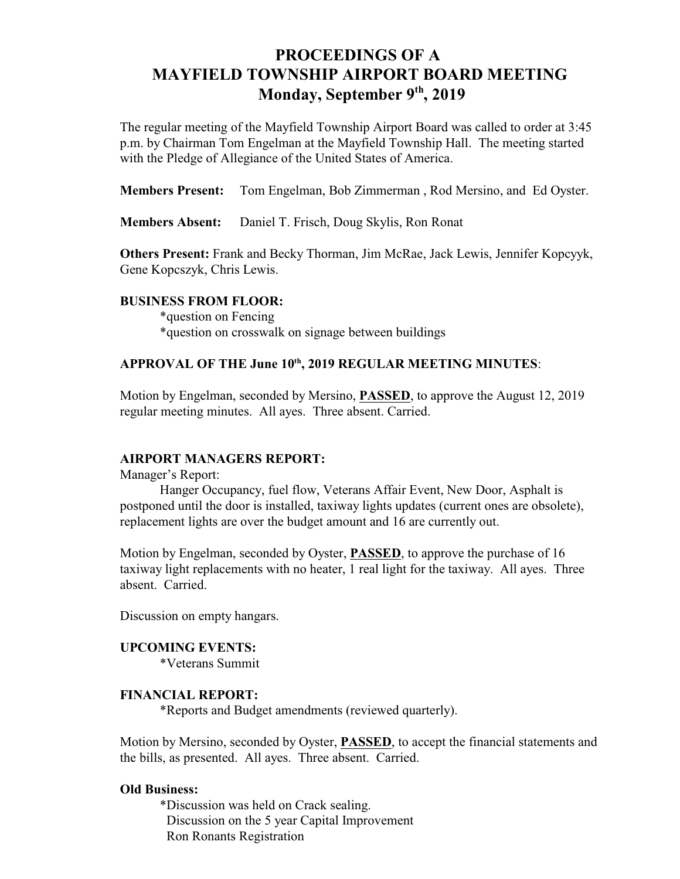# **PROCEEDINGS OF A MAYFIELD TOWNSHIP AIRPORT BOARD MEETING** Monday, September 9<sup>th</sup>, 2019

The regular meeting of the Mayfield Township Airport Board was called to order at 3:45 p.m. by Chairman Tom Engelman at the Mayfield Township Hall. The meeting started with the Pledge of Allegiance of the United States of America.

**Members Present:** Tom Engelman, Bob Zimmerman , Rod Mersino, and Ed Oyster.

**Members Absent:** Daniel T. Frisch, Doug Skylis, Ron Ronat

**Others Present:** Frank and Becky Thorman, Jim McRae, Jack Lewis, Jennifer Kopcyyk, Gene Kopcszyk, Chris Lewis.

### **BUSINESS FROM FLOOR:**

\*question on Fencing \*question on crosswalk on signage between buildings

## APPROVAL OF THE June 10<sup>th</sup>, 2019 REGULAR MEETING MINUTES:

Motion by Engelman, seconded by Mersino, **PASSED**, to approve the August 12, 2019 regular meeting minutes. All ayes. Three absent. Carried.

### **AIRPORT MANAGERS REPORT:**

Manager's Report:

Hanger Occupancy, fuel flow, Veterans Affair Event, New Door, Asphalt is postponed until the door is installed, taxiway lights updates (current ones are obsolete), replacement lights are over the budget amount and 16 are currently out.

Motion by Engelman, seconded by Oyster, **PASSED**, to approve the purchase of 16 taxiway light replacements with no heater, 1 real light for the taxiway. All ayes. Three absent. Carried.

Discussion on empty hangars.

# **UPCOMING EVENTS:**

\*Veterans Summit

### **FINANCIAL REPORT:**

\*Reports and Budget amendments (reviewed quarterly).

Motion by Mersino, seconded by Oyster, **PASSED**, to accept the financial statements and the bills, as presented. All ayes. Three absent. Carried.

#### **Old Business:**

\*Discussion was held on Crack sealing. Discussion on the 5 year Capital Improvement Ron Ronants Registration